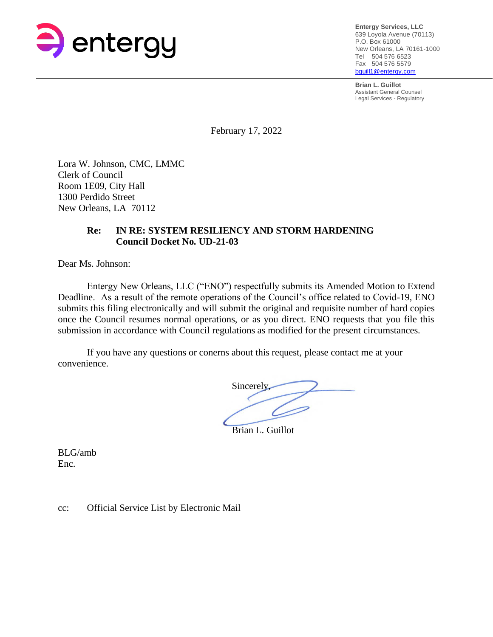

**Entergy Services, LLC** 639 Loyola Avenue (70113) P.O. Box 61000 New Orleans, LA 70161-1000 Tel 504 576 6523 Fax 504 576 5579 [bguill1@entergy.com](mailto:bguill1@entergy.com)

**Brian L. Guillot** Assistant General Counsel Legal Services - Regulatory

February 17, 2022

Lora W. Johnson, CMC, LMMC Clerk of Council Room 1E09, City Hall 1300 Perdido Street New Orleans, LA 70112

# **Re: IN RE: SYSTEM RESILIENCY AND STORM HARDENING Council Docket No. UD-21-03**

Dear Ms. Johnson:

Entergy New Orleans, LLC ("ENO") respectfully submits its Amended Motion to Extend Deadline. As a result of the remote operations of the Council's office related to Covid-19, ENO submits this filing electronically and will submit the original and requisite number of hard copies once the Council resumes normal operations, or as you direct. ENO requests that you file this submission in accordance with Council regulations as modified for the present circumstances.

If you have any questions or conerns about this request, please contact me at your convenience.

Sincerely, Brian L. Guillot

BLG/amb Enc.

cc: Official Service List by Electronic Mail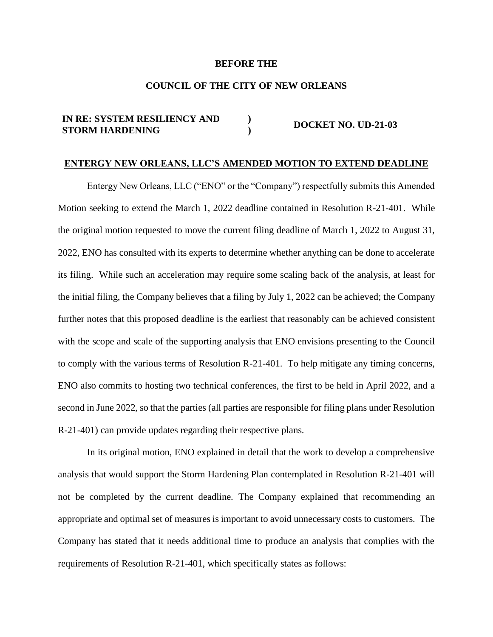## **BEFORE THE**

## **COUNCIL OF THE CITY OF NEW ORLEANS**

#### **IN RE: SYSTEM RESILIENCY AND STORM HARDENING ) ) DOCKET NO. UD-21-03**

### **ENTERGY NEW ORLEANS, LLC'S AMENDED MOTION TO EXTEND DEADLINE**

Entergy New Orleans, LLC ("ENO" or the "Company") respectfully submits this Amended Motion seeking to extend the March 1, 2022 deadline contained in Resolution R-21-401. While the original motion requested to move the current filing deadline of March 1, 2022 to August 31, 2022, ENO has consulted with its experts to determine whether anything can be done to accelerate its filing. While such an acceleration may require some scaling back of the analysis, at least for the initial filing, the Company believes that a filing by July 1, 2022 can be achieved; the Company further notes that this proposed deadline is the earliest that reasonably can be achieved consistent with the scope and scale of the supporting analysis that ENO envisions presenting to the Council to comply with the various terms of Resolution R-21-401. To help mitigate any timing concerns, ENO also commits to hosting two technical conferences, the first to be held in April 2022, and a second in June 2022, so that the parties (all parties are responsible for filing plans under Resolution R-21-401) can provide updates regarding their respective plans.

In its original motion, ENO explained in detail that the work to develop a comprehensive analysis that would support the Storm Hardening Plan contemplated in Resolution R-21-401 will not be completed by the current deadline. The Company explained that recommending an appropriate and optimal set of measures is important to avoid unnecessary costs to customers. The Company has stated that it needs additional time to produce an analysis that complies with the requirements of Resolution R-21-401, which specifically states as follows: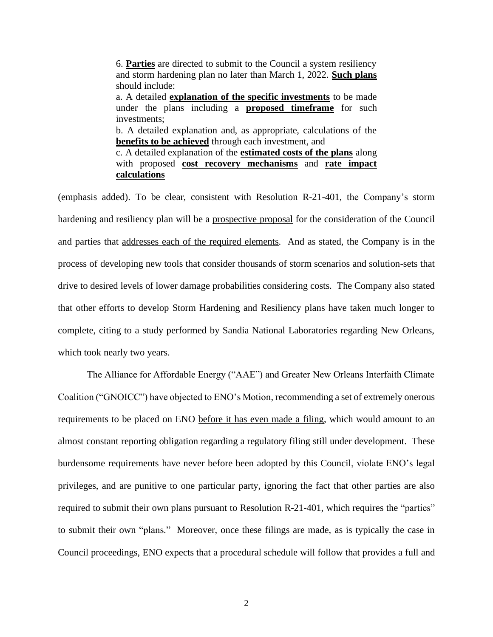6. **Parties** are directed to submit to the Council a system resiliency and storm hardening plan no later than March 1, 2022. **Such plans** should include: a. A detailed **explanation of the specific investments** to be made under the plans including a **proposed timeframe** for such investments; b. A detailed explanation and, as appropriate, calculations of the **benefits to be achieved** through each investment, and c. A detailed explanation of the **estimated costs of the plans** along with proposed **cost recovery mechanisms** and **rate impact calculations**

(emphasis added). To be clear, consistent with Resolution R-21-401, the Company's storm hardening and resiliency plan will be a prospective proposal for the consideration of the Council and parties that addresses each of the required elements. And as stated, the Company is in the process of developing new tools that consider thousands of storm scenarios and solution-sets that drive to desired levels of lower damage probabilities considering costs. The Company also stated that other efforts to develop Storm Hardening and Resiliency plans have taken much longer to complete, citing to a study performed by Sandia National Laboratories regarding New Orleans, which took nearly two years.

The Alliance for Affordable Energy ("AAE") and Greater New Orleans Interfaith Climate Coalition ("GNOICC") have objected to ENO's Motion, recommending a set of extremely onerous requirements to be placed on ENO before it has even made a filing, which would amount to an almost constant reporting obligation regarding a regulatory filing still under development. These burdensome requirements have never before been adopted by this Council, violate ENO's legal privileges, and are punitive to one particular party, ignoring the fact that other parties are also required to submit their own plans pursuant to Resolution R-21-401, which requires the "parties" to submit their own "plans." Moreover, once these filings are made, as is typically the case in Council proceedings, ENO expects that a procedural schedule will follow that provides a full and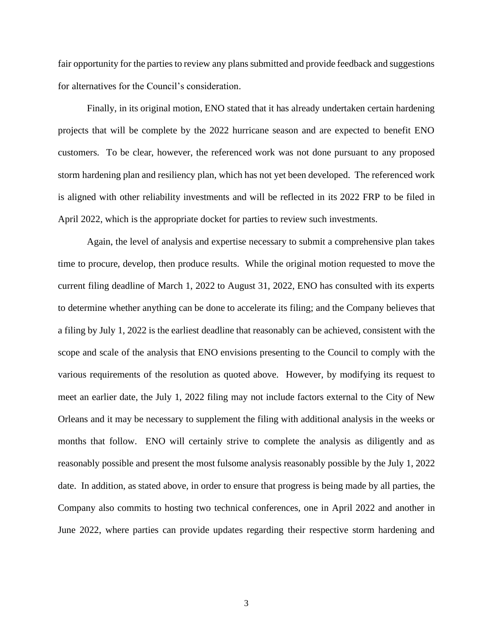fair opportunity for the parties to review any plans submitted and provide feedback and suggestions for alternatives for the Council's consideration.

Finally, in its original motion, ENO stated that it has already undertaken certain hardening projects that will be complete by the 2022 hurricane season and are expected to benefit ENO customers. To be clear, however, the referenced work was not done pursuant to any proposed storm hardening plan and resiliency plan, which has not yet been developed. The referenced work is aligned with other reliability investments and will be reflected in its 2022 FRP to be filed in April 2022, which is the appropriate docket for parties to review such investments.

Again, the level of analysis and expertise necessary to submit a comprehensive plan takes time to procure, develop, then produce results. While the original motion requested to move the current filing deadline of March 1, 2022 to August 31, 2022, ENO has consulted with its experts to determine whether anything can be done to accelerate its filing; and the Company believes that a filing by July 1, 2022 is the earliest deadline that reasonably can be achieved, consistent with the scope and scale of the analysis that ENO envisions presenting to the Council to comply with the various requirements of the resolution as quoted above. However, by modifying its request to meet an earlier date, the July 1, 2022 filing may not include factors external to the City of New Orleans and it may be necessary to supplement the filing with additional analysis in the weeks or months that follow. ENO will certainly strive to complete the analysis as diligently and as reasonably possible and present the most fulsome analysis reasonably possible by the July 1, 2022 date. In addition, as stated above, in order to ensure that progress is being made by all parties, the Company also commits to hosting two technical conferences, one in April 2022 and another in June 2022, where parties can provide updates regarding their respective storm hardening and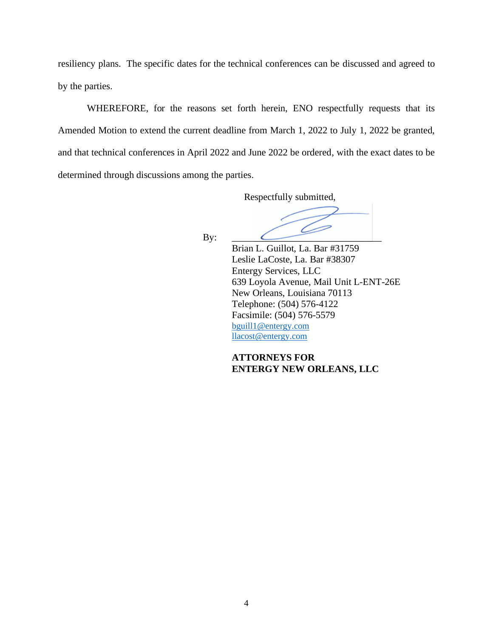resiliency plans. The specific dates for the technical conferences can be discussed and agreed to by the parties.

WHEREFORE, for the reasons set forth herein, ENO respectfully requests that its Amended Motion to extend the current deadline from March 1, 2022 to July 1, 2022 be granted, and that technical conferences in April 2022 and June 2022 be ordered, with the exact dates to be determined through discussions among the parties.

Respectfully submitted,

By:  $\qquad \qquad \qquad \qquad$ 

Brian L. Guillot, La. Bar #31759 Leslie LaCoste, La. Bar #38307 Entergy Services, LLC 639 Loyola Avenue, Mail Unit L-ENT-26E New Orleans, Louisiana 70113 Telephone: (504) 576-4122 Facsimile: (504) 576-5579 [bguill1@entergy.com](mailto:bguill1@entergy.com) [llacost@entergy.com](mailto:llacost@entergy.com)

**ATTORNEYS FOR ENTERGY NEW ORLEANS, LLC**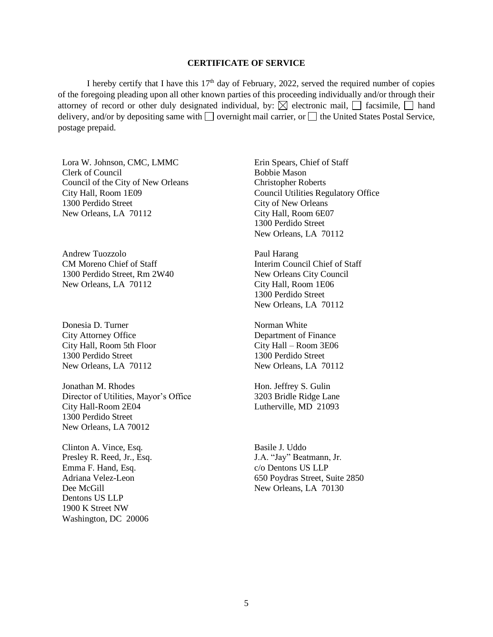### **CERTIFICATE OF SERVICE**

I hereby certify that I have this  $17<sup>th</sup>$  day of February, 2022, served the required number of copies of the foregoing pleading upon all other known parties of this proceeding individually and/or through their attorney of record or other duly designated individual, by:  $\boxtimes$  electronic mail,  $\Box$  facsimile,  $\Box$  hand delivery, and/or by depositing same with  $\Box$  overnight mail carrier, or  $\Box$  the United States Postal Service, postage prepaid.

Lora W. Johnson, CMC, LMMC Clerk of Council Council of the City of New Orleans City Hall, Room 1E09 1300 Perdido Street New Orleans, LA 70112

Andrew Tuozzolo CM Moreno Chief of Staff 1300 Perdido Street, Rm 2W40 New Orleans, LA 70112

Donesia D. Turner City Attorney Office City Hall, Room 5th Floor 1300 Perdido Street New Orleans, LA 70112

Jonathan M. Rhodes Director of Utilities, Mayor's Office City Hall-Room 2E04 1300 Perdido Street New Orleans, LA 70012

Clinton A. Vince, Esq. Presley R. Reed, Jr., Esq. Emma F. Hand, Esq. Adriana Velez-Leon Dee McGill Dentons US LLP 1900 K Street NW Washington, DC 20006

Erin Spears, Chief of Staff Bobbie Mason Christopher Roberts Council Utilities Regulatory Office City of New Orleans City Hall, Room 6E07 1300 Perdido Street New Orleans, LA 70112

Paul Harang Interim Council Chief of Staff New Orleans City Council City Hall, Room 1E06 1300 Perdido Street New Orleans, LA 70112

Norman White Department of Finance City Hall – Room 3E06 1300 Perdido Street New Orleans, LA 70112

Hon. Jeffrey S. Gulin 3203 Bridle Ridge Lane Lutherville, MD 21093

Basile J. Uddo J.A. "Jay" Beatmann, Jr. c/o Dentons US LLP 650 Poydras Street, Suite 2850 New Orleans, LA 70130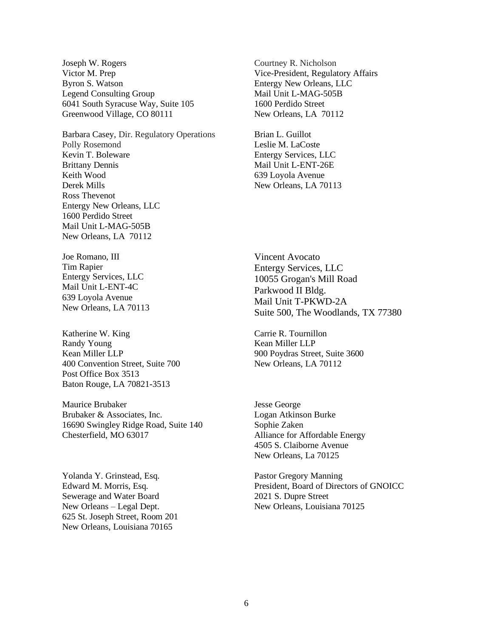Joseph W. Rogers Victor M. Prep Byron S. Watson Legend Consulting Group 6041 South Syracuse Way, Suite 105 Greenwood Village, CO 80111

Barbara Casey, Dir. Regulatory Operations Polly Rosemond Kevin T. Boleware Brittany Dennis Keith Wood Derek Mills Ross Thevenot Entergy New Orleans, LLC 1600 Perdido Street Mail Unit L-MAG-505B New Orleans, LA 70112

Joe Romano, III Tim Rapier Entergy Services, LLC Mail Unit L-ENT-4C 639 Loyola Avenue New Orleans, LA 70113

Katherine W. King Randy Young Kean Miller LLP 400 Convention Street, Suite 700 Post Office Box 3513 Baton Rouge, LA 70821-3513

Maurice Brubaker Brubaker & Associates, Inc. 16690 Swingley Ridge Road, Suite 140 Chesterfield, MO 63017

Yolanda Y. Grinstead, Esq. Edward M. Morris, Esq. Sewerage and Water Board New Orleans – Legal Dept. 625 St. Joseph Street, Room 201 New Orleans, Louisiana 70165

Courtney R. Nicholson Vice-President, Regulatory Affairs Entergy New Orleans, LLC Mail Unit L-MAG-505B 1600 Perdido Street New Orleans, LA 70112

Brian L. Guillot Leslie M. LaCoste Entergy Services, LLC Mail Unit L-ENT-26E 639 Loyola Avenue New Orleans, LA 70113

Vincent Avocato Entergy Services, LLC 10055 Grogan's Mill Road Parkwood II Bldg. Mail Unit T-PKWD-2A Suite 500, The Woodlands, TX 77380

Carrie R. Tournillon Kean Miller LLP 900 Poydras Street, Suite 3600 New Orleans, LA 70112

Jesse George Logan Atkinson Burke Sophie Zaken Alliance for Affordable Energy 4505 S. Claiborne Avenue New Orleans, La 70125

Pastor Gregory Manning President, Board of Directors of GNOICC 2021 S. Dupre Street New Orleans, Louisiana 70125